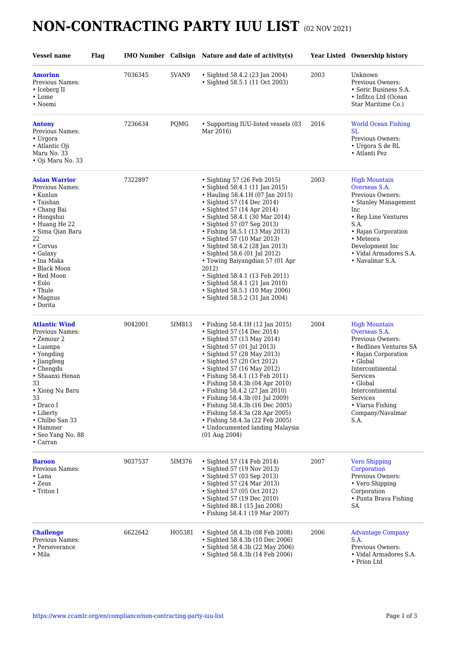## **NON-CONTRACTING PARTY IUU LIST** (02 NOV 2021)

| <b>Vessel name</b>                                                                                                                                                                                                                                                            | <b>Flag</b> |         |        | IMO Number Callsign Nature and date of activity(s)                                                                                                                                                                                                                                                                                                                                                                                                                                                                                                 |      | <b>Year Listed Ownership history</b>                                                                                                                                                                                                               |
|-------------------------------------------------------------------------------------------------------------------------------------------------------------------------------------------------------------------------------------------------------------------------------|-------------|---------|--------|----------------------------------------------------------------------------------------------------------------------------------------------------------------------------------------------------------------------------------------------------------------------------------------------------------------------------------------------------------------------------------------------------------------------------------------------------------------------------------------------------------------------------------------------------|------|----------------------------------------------------------------------------------------------------------------------------------------------------------------------------------------------------------------------------------------------------|
| <b>Amorinn</b><br>Previous Names:<br>• Iceberg II<br>$\cdot$ Lome<br>• Noemi                                                                                                                                                                                                  |             | 7036345 | 5VAN9  | • Sighted 58.4.2 (23 Jan 2004)<br>· Sighted 58.5.1 (11 Oct 2003)                                                                                                                                                                                                                                                                                                                                                                                                                                                                                   | 2003 | Unknown<br>Previous Owners:<br>• Seric Business S.A.<br>• Infitco Ltd (Ocean<br>Star Maritime Co.)                                                                                                                                                 |
| <b>Antony</b><br>Previous Names:<br>• Urgora<br>• Atlantic Oji<br>Maru No. 33<br>• Oji Maru No. 33                                                                                                                                                                            |             | 7236634 | PQMG   | • Supporting IUU-listed vessels (03<br>Mar 2016)                                                                                                                                                                                                                                                                                                                                                                                                                                                                                                   | 2016 | <b>World Ocean Fishing</b><br>SL.<br>Previous Owners:<br>• Urgora S de RL<br>• Atlanti Pez                                                                                                                                                         |
| <b>Asian Warrior</b><br>Previous Names:<br>$\cdot$ Kunlun<br>• Taishan<br>• Chang Bai<br>• Hongshui<br>• Huang He 22<br>• Sima Qian Baru<br>22<br>• Corvus<br>$\bullet$ Galaxy<br>• Ina Maka<br>• Black Moon<br>• Red Moon<br>$\cdot$ Eolo<br>• Thule<br>• Magnus<br>• Dorita |             | 7322897 |        | • Sighting 57 (26 Feb 2015)<br>• Sighted 58.4.1 (11 Jan 2015)<br>• Hauling 58.4.1H (07 Jan 2015)<br>• Sighted 57 (14 Dec 2014)<br>• Sighted 57 (14 Apr 2014)<br>• Sighted 58.4.1 (30 Mar 2014)<br>• Sighted 57 (07 Sep 2013)<br>• Fishing 58.5.1 (13 May 2013)<br>• Sighted 57 (10 Mar 2013)<br>• Sighted 58.4.2 (28 Jan 2013)<br>• Sighted 58.6 (01 Jul 2012)<br>• Towing Baiyangdian 57 (01 Apr<br>2012)<br>• Sighted 58.4.1 (13 Feb 2011)<br>• Sighted 58.4.1 (21 Jan 2010)<br>• Sighted 58.5.1 (10 May 2006)<br>• Sighted 58.5.2 (31 Jan 2004) | 2003 | <b>High Mountain</b><br>Overseas S.A.<br>Previous Owners:<br>• Stanley Management<br>Inc<br>• Rep Line Ventures<br>S.A.<br>• Rajan Corporation<br>• Meteora<br>Development Inc<br>• Vidal Armadores S.A.<br>• Navalmar S.A.                        |
| <b>Atlantic Wind</b><br>Previous Names:<br>• Zemour 2<br>• Luampa<br>• Yongding<br>• Jiangfeng<br>• Chengdu<br>• Shaanxi Henan<br>33<br>• Xiong Nu Baru<br>33<br>$\bullet$ Draco I<br>• Liberty<br>• Chilbo San 33<br>• Hammer<br>• Seo Yang No. 88<br>$\bullet$ Carran       |             | 9042001 | 5IM813 | • Fishing 58.4.1H (12 Jan 2015)<br>• Sighted 57 (14 Dec 2014)<br>• Sighted 57 (13 May 2014)<br>• Sighted 57 (01 Jul 2013)<br>• Sighted 57 (28 May 2013)<br>• Sighted 57 (20 Oct 2012)<br>• Sighted 57 (16 May 2012)<br>• Fishing 58.4.1 (13 Feb 2011)<br>• Fishing 58.4.3b (04 Apr 2010)<br>• Fishing 58.4.2 (27 Jan 2010)<br>• Fishing 58.4.3b (01 Jul 2009)<br>• Fishing 58.4.3b (16 Dec 2005)<br>• Fishing 58.4.3a (28 Apr 2005)<br>• Fishing 58.4.3a (22 Feb 2005)<br>• Undocumented landing Malaysia<br>(01 Aug 2004)                         | 2004 | <b>High Mountain</b><br>Overseas S.A.<br>Previous Owners:<br>• Redlines Ventures SA<br>• Rajan Corporation<br>• Global<br>Intercontinental<br>Services<br>• Global<br>Intercontinental<br>Services<br>• Viarsa Fishing<br>Company/Navalmar<br>S.A. |
| <b>Baroon</b><br>Previous Names:<br>• Lana<br>• Zeus<br>• Triton I                                                                                                                                                                                                            |             | 9037537 | 5IM376 | • Sighted 57 (14 Feb 2014)<br>• Sighted 57 (19 Nov 2013)<br>• Sighted 57 (03 Sep 2013)<br>• Sighted 57 (24 Mar 2013)<br>• Sighted 57 (05 Oct 2012)<br>• Sighted 57 (19 Dec 2010)<br>• Sighted 88.1 (15 Jan 2008)<br>• Fishing 58.4.1 (19 Mar 2007)                                                                                                                                                                                                                                                                                                 | 2007 | <b>Vero Shipping</b><br>Corporation<br>Previous Owners:<br>• Vero Shipping<br>Corporation<br>• Punta Brava Fishing<br>SA                                                                                                                           |
| <b>Challenge</b><br>Previous Names:<br>• Perseverance<br>• Mila                                                                                                                                                                                                               |             | 6622642 | HO5381 | • Sighted 58.4.3b (08 Feb 2008)<br>• Sighted 58.4.3b (10 Dec 2006)<br>• Sighted 58.4.3b (22 May 2006)<br>· Sighted 58.4.3b (14 Feb 2006)                                                                                                                                                                                                                                                                                                                                                                                                           | 2006 | <b>Advantage Company</b><br>S.A.<br>Previous Owners:<br>• Vidal Armadores S.A.<br>• Prion Ltd                                                                                                                                                      |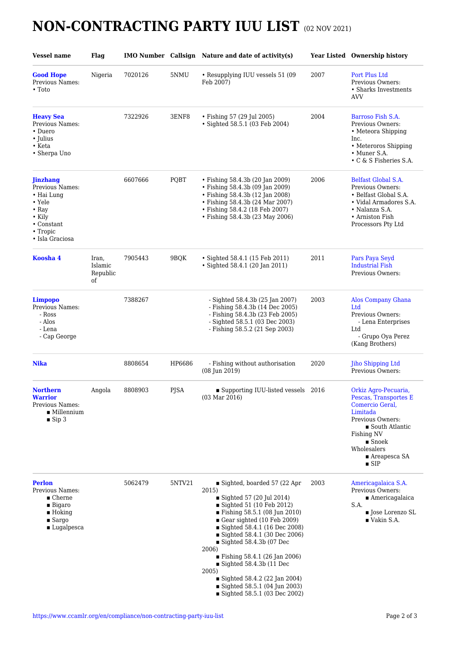## **NON-CONTRACTING PARTY IUU LIST** (02 NOV 2021)

| <b>Vessel name</b>                                                                                                                       | Flag                               |         |        | IMO Number Callsign Nature and date of activity(s)                                                                                                                                                                                                                                                                                                                                                                                                                         |      | Year Listed Ownership history                                                                                                                                                                                                  |
|------------------------------------------------------------------------------------------------------------------------------------------|------------------------------------|---------|--------|----------------------------------------------------------------------------------------------------------------------------------------------------------------------------------------------------------------------------------------------------------------------------------------------------------------------------------------------------------------------------------------------------------------------------------------------------------------------------|------|--------------------------------------------------------------------------------------------------------------------------------------------------------------------------------------------------------------------------------|
| <b>Good Hope</b><br>Previous Names:<br>$\cdot$ Toto                                                                                      | Nigeria                            | 7020126 | 5NMU   | • Resupplying IUU vessels 51 (09<br>Feb 2007)                                                                                                                                                                                                                                                                                                                                                                                                                              | 2007 | Port Plus Ltd<br>Previous Owners:<br>• Sharks Investments<br><b>AVV</b>                                                                                                                                                        |
| <b>Heavy Sea</b><br>Previous Names:<br>• Duero<br>• Julius<br>$\bullet$ Keta<br>• Sherpa Uno                                             |                                    | 7322926 | 3ENF8  | • Fishing 57 (29 Jul 2005)<br>• Sighted 58.5.1 (03 Feb 2004)                                                                                                                                                                                                                                                                                                                                                                                                               | 2004 | Barroso Fish S.A.<br>Previous Owners:<br>• Meteora Shipping<br>Inc.<br>• Meteroros Shipping<br>• Muner S.A.<br>• C & S Fisheries S.A.                                                                                          |
| <b>Jinzhang</b><br>Previous Names:<br>• Hai Lung<br>$\cdot$ Yele<br>$\cdot$ Ray<br>• Kily<br>• Constant<br>• Tropic<br>• Isla Graciosa   |                                    | 6607666 | PQBT   | • Fishing 58.4.3b (20 Jan 2009)<br>• Fishing 58.4.3b (09 Jan 2009)<br>• Fishing 58.4.3b (12 Jan 2008)<br>• Fishing 58.4.3b (24 Mar 2007)<br>• Fishing 58.4.2 (18 Feb 2007)<br>· Fishing 58.4.3b (23 May 2006)                                                                                                                                                                                                                                                              | 2006 | Belfast Global S.A.<br>Previous Owners:<br>• Belfast Global S.A.<br>• Vidal Armadores S.A.<br>• Nalanza S.A.<br>• Arniston Fish<br>Processors Pty Ltd                                                                          |
| Koosha 4                                                                                                                                 | Iran,<br>Islamic<br>Republic<br>of | 7905443 | 9BOK   | • Sighted 58.4.1 (15 Feb 2011)<br>• Sighted 58.4.1 (20 Jan 2011)                                                                                                                                                                                                                                                                                                                                                                                                           | 2011 | Pars Paya Seyd<br><b>Industrial Fish</b><br>Previous Owners:                                                                                                                                                                   |
| Limpopo<br>Previous Names:<br>- Ross<br>- Alos<br>- Lena<br>- Cap George                                                                 |                                    | 7388267 |        | - Sighted 58.4.3b (25 Jan 2007)<br>- Fishing 58.4.3b (14 Dec 2005)<br>- Fishing 58.4.3b (23 Feb 2005)<br>- Sighted 58.5.1 (03 Dec 2003)<br>- Fishing 58.5.2 (21 Sep 2003)                                                                                                                                                                                                                                                                                                  | 2003 | <b>Alos Company Ghana</b><br>Ltd<br>Previous Owners:<br>- Lena Enterprises<br>Ltd<br>- Grupo Oya Perez<br>(Kang Brothers)                                                                                                      |
| <b>Nika</b>                                                                                                                              |                                    | 8808654 | HP6686 | - Fishing without authorisation<br>(08 Jun 2019)                                                                                                                                                                                                                                                                                                                                                                                                                           | 2020 | <b>Jiho Shipping Ltd</b><br>Previous Owners:                                                                                                                                                                                   |
| Northern<br><b>Warrior</b><br>Previous Names:<br>$\blacksquare$ Millennium<br>$\blacksquare$ Sip 3                                       | Angola                             | 8808903 | PJSA   | $\blacksquare$<br>Supporting IUU-listed vessels $\,$ 2016 $\,$<br>$(03 \text{ Mar } 2016)$                                                                                                                                                                                                                                                                                                                                                                                 |      | Orkiz Agro-Pecuaria,<br>Pescas, Transportes E<br>Comercio Geral,<br>Limitada<br>Previous Owners:<br>■ South Atlantic<br>Fishing NV<br>$\blacksquare$ Snoek<br>Wholesalers<br>$\blacksquare$ Areapesca SA<br>$\blacksquare$ SIP |
| <b>Perlon</b><br>Previous Names:<br>$\blacksquare$ Cherne<br>$\blacksquare$ Bigaro<br>$\blacksquare$ Hoking<br>$S\arg o$<br>■ Lugalpesca |                                    | 5062479 | 5NTV21 | Sighted, boarded 57 (22 Apr<br>2015)<br>Sighted 57 (20 Jul 2014)<br>Sighted 51 (10 Feb 2012)<br>■ Fishing 58.5.1 (08 Jun 2010)<br>Gear sighted $(10 \text{ Feb } 2009)$<br>■ Sighted 58.4.1 (16 Dec 2008)<br>■ Sighted 58.4.1 (30 Dec 2006)<br>Sighted $58.4.3b$ (07 Dec<br>2006)<br>■ Fishing 58.4.1 (26 Jan 2006)<br>$\blacksquare$ Sighted 58.4.3b (11 Dec<br>2005)<br>Sighted $58.4.2$ (22 Jan 2004)<br>Sighted 58.5.1 (04 Jun 2003)<br>■ Sighted 58.5.1 (03 Dec 2002) | 2003 | Americagalaica S.A.<br>Previous Owners:<br>$\blacksquare$ Americagalaica<br>S.A.<br><b>Jose Lorenzo SL</b><br>$\blacksquare$ Vakin S.A.                                                                                        |